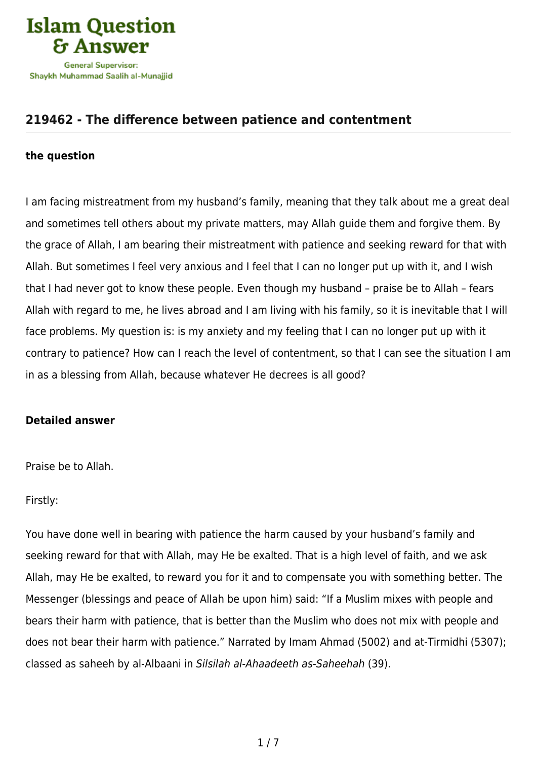

## **[219462 - The difference between patience and contentment](https://islamqa.com/en/answers/219462/the-difference-between-patience-and-contentment)**

## **the question**

I am facing mistreatment from my husband's family, meaning that they talk about me a great deal and sometimes tell others about my private matters, may Allah guide them and forgive them. By the grace of Allah, I am bearing their mistreatment with patience and seeking reward for that with Allah. But sometimes I feel very anxious and I feel that I can no longer put up with it, and I wish that I had never got to know these people. Even though my husband – praise be to Allah – fears Allah with regard to me, he lives abroad and I am living with his family, so it is inevitable that I will face problems. My question is: is my anxiety and my feeling that I can no longer put up with it contrary to patience? How can I reach the level of contentment, so that I can see the situation I am in as a blessing from Allah, because whatever He decrees is all good?

## **Detailed answer**

Praise be to Allah.

Firstly:

You have done well in bearing with patience the harm caused by your husband's family and seeking reward for that with Allah, may He be exalted. That is a high level of faith, and we ask Allah, may He be exalted, to reward you for it and to compensate you with something better. The Messenger (blessings and peace of Allah be upon him) said: "If a Muslim mixes with people and bears their harm with patience, that is better than the Muslim who does not mix with people and does not bear their harm with patience." Narrated by Imam Ahmad (5002) and at-Tirmidhi (5307); classed as saheeh by al-Albaani in Silsilah al-Ahaadeeth as-Saheehah (39).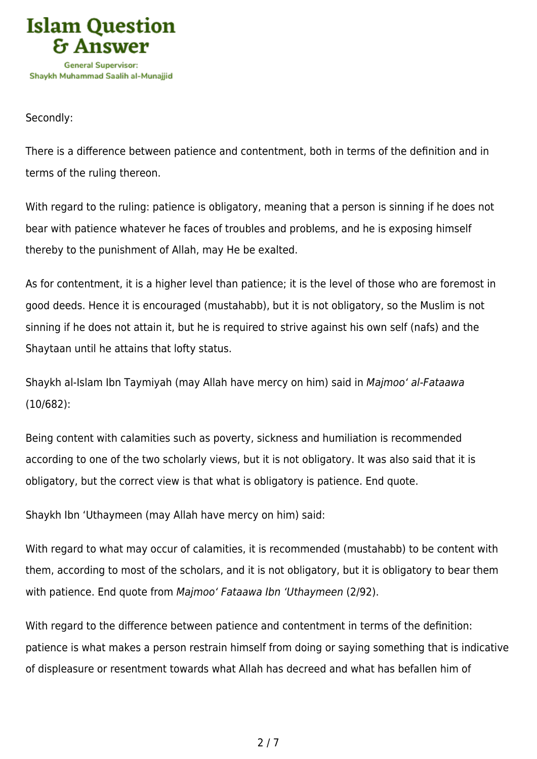

Secondly:

There is a difference between patience and contentment, both in terms of the definition and in terms of the ruling thereon.

With regard to the ruling: patience is obligatory, meaning that a person is sinning if he does not bear with patience whatever he faces of troubles and problems, and he is exposing himself thereby to the punishment of Allah, may He be exalted.

As for contentment, it is a higher level than patience; it is the level of those who are foremost in good deeds. Hence it is encouraged (mustahabb), but it is not obligatory, so the Muslim is not sinning if he does not attain it, but he is required to strive against his own self (nafs) and the Shaytaan until he attains that lofty status.

Shaykh al-Islam Ibn Taymiyah (may Allah have mercy on him) said in Majmoo' al-Fataawa (10/682):

Being content with calamities such as poverty, sickness and humiliation is recommended according to one of the two scholarly views, but it is not obligatory. It was also said that it is obligatory, but the correct view is that what is obligatory is patience. End quote.

Shaykh Ibn 'Uthaymeen (may Allah have mercy on him) said:

With regard to what may occur of calamities, it is recommended (mustahabb) to be content with them, according to most of the scholars, and it is not obligatory, but it is obligatory to bear them with patience. End quote from Majmoo' Fataawa Ibn 'Uthaymeen (2/92).

With regard to the difference between patience and contentment in terms of the definition: patience is what makes a person restrain himself from doing or saying something that is indicative of displeasure or resentment towards what Allah has decreed and what has befallen him of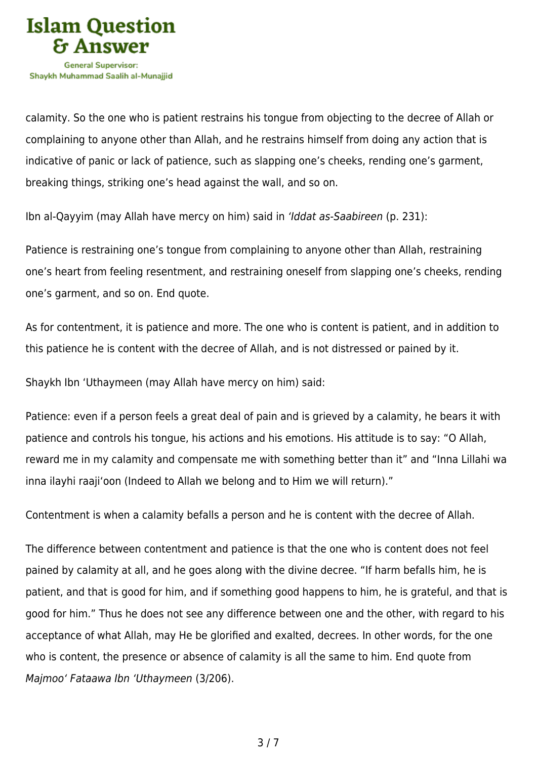

calamity. So the one who is patient restrains his tongue from objecting to the decree of Allah or complaining to anyone other than Allah, and he restrains himself from doing any action that is indicative of panic or lack of patience, such as slapping one's cheeks, rending one's garment, breaking things, striking one's head against the wall, and so on.

Ibn al-Qayyim (may Allah have mercy on him) said in 'Iddat as-Saabireen (p. 231):

Patience is restraining one's tongue from complaining to anyone other than Allah, restraining one's heart from feeling resentment, and restraining oneself from slapping one's cheeks, rending one's garment, and so on. End quote.

As for contentment, it is patience and more. The one who is content is patient, and in addition to this patience he is content with the decree of Allah, and is not distressed or pained by it.

Shaykh Ibn 'Uthaymeen (may Allah have mercy on him) said:

Patience: even if a person feels a great deal of pain and is grieved by a calamity, he bears it with patience and controls his tongue, his actions and his emotions. His attitude is to say: "O Allah, reward me in my calamity and compensate me with something better than it" and "Inna Lillahi wa inna ilayhi raaji'oon (Indeed to Allah we belong and to Him we will return)."

Contentment is when a calamity befalls a person and he is content with the decree of Allah.

The difference between contentment and patience is that the one who is content does not feel pained by calamity at all, and he goes along with the divine decree. "If harm befalls him, he is patient, and that is good for him, and if something good happens to him, he is grateful, and that is good for him." Thus he does not see any difference between one and the other, with regard to his acceptance of what Allah, may He be glorified and exalted, decrees. In other words, for the one who is content, the presence or absence of calamity is all the same to him. End quote from Majmoo' Fataawa Ibn 'Uthaymeen (3/206).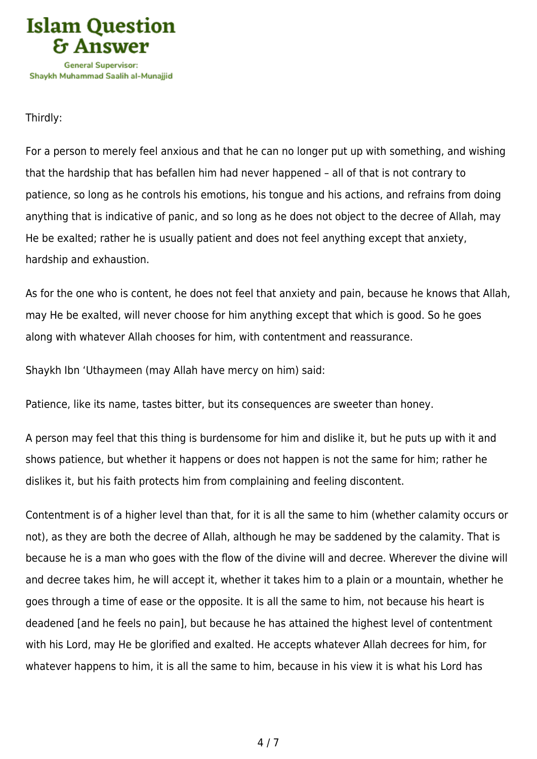

Thirdly:

For a person to merely feel anxious and that he can no longer put up with something, and wishing that the hardship that has befallen him had never happened – all of that is not contrary to patience, so long as he controls his emotions, his tongue and his actions, and refrains from doing anything that is indicative of panic, and so long as he does not object to the decree of Allah, may He be exalted; rather he is usually patient and does not feel anything except that anxiety, hardship and exhaustion.

As for the one who is content, he does not feel that anxiety and pain, because he knows that Allah, may He be exalted, will never choose for him anything except that which is good. So he goes along with whatever Allah chooses for him, with contentment and reassurance.

Shaykh Ibn 'Uthaymeen (may Allah have mercy on him) said:

Patience, like its name, tastes bitter, but its consequences are sweeter than honey.

A person may feel that this thing is burdensome for him and dislike it, but he puts up with it and shows patience, but whether it happens or does not happen is not the same for him; rather he dislikes it, but his faith protects him from complaining and feeling discontent.

Contentment is of a higher level than that, for it is all the same to him (whether calamity occurs or not), as they are both the decree of Allah, although he may be saddened by the calamity. That is because he is a man who goes with the flow of the divine will and decree. Wherever the divine will and decree takes him, he will accept it, whether it takes him to a plain or a mountain, whether he goes through a time of ease or the opposite. It is all the same to him, not because his heart is deadened [and he feels no pain], but because he has attained the highest level of contentment with his Lord, may He be glorified and exalted. He accepts whatever Allah decrees for him, for whatever happens to him, it is all the same to him, because in his view it is what his Lord has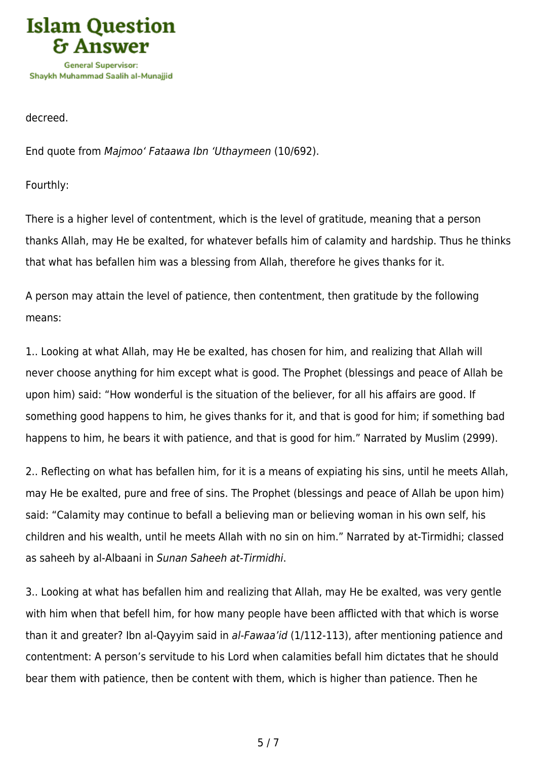

decreed.

End quote from Majmoo' Fataawa Ibn 'Uthaymeen (10/692).

Fourthly:

There is a higher level of contentment, which is the level of gratitude, meaning that a person thanks Allah, may He be exalted, for whatever befalls him of calamity and hardship. Thus he thinks that what has befallen him was a blessing from Allah, therefore he gives thanks for it.

A person may attain the level of patience, then contentment, then gratitude by the following means:

1.. Looking at what Allah, may He be exalted, has chosen for him, and realizing that Allah will never choose anything for him except what is good. The Prophet (blessings and peace of Allah be upon him) said: "How wonderful is the situation of the believer, for all his affairs are good. If something good happens to him, he gives thanks for it, and that is good for him; if something bad happens to him, he bears it with patience, and that is good for him." Narrated by Muslim (2999).

2.. Reflecting on what has befallen him, for it is a means of expiating his sins, until he meets Allah, may He be exalted, pure and free of sins. The Prophet (blessings and peace of Allah be upon him) said: "Calamity may continue to befall a believing man or believing woman in his own self, his children and his wealth, until he meets Allah with no sin on him." Narrated by at-Tirmidhi; classed as saheeh by al-Albaani in Sunan Saheeh at-Tirmidhi.

3.. Looking at what has befallen him and realizing that Allah, may He be exalted, was very gentle with him when that befell him, for how many people have been afflicted with that which is worse than it and greater? Ibn al-Qayyim said in al-Fawaa'id (1/112-113), after mentioning patience and contentment: A person's servitude to his Lord when calamities befall him dictates that he should bear them with patience, then be content with them, which is higher than patience. Then he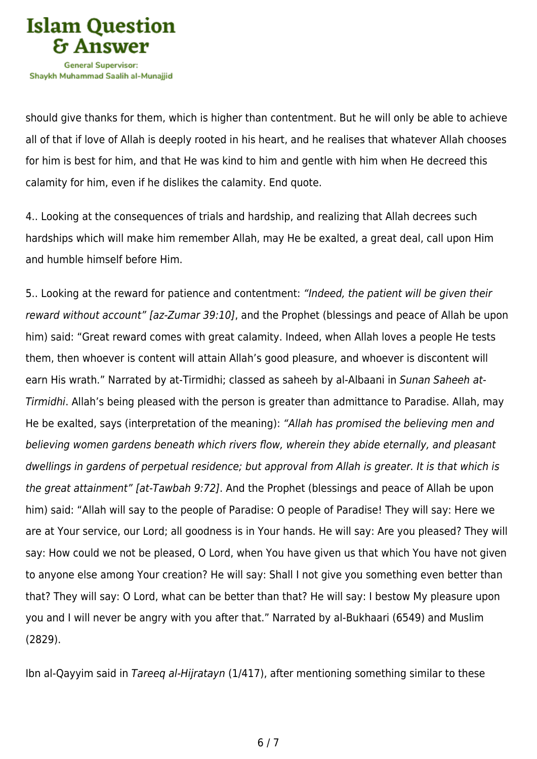

should give thanks for them, which is higher than contentment. But he will only be able to achieve all of that if love of Allah is deeply rooted in his heart, and he realises that whatever Allah chooses for him is best for him, and that He was kind to him and gentle with him when He decreed this calamity for him, even if he dislikes the calamity. End quote.

4.. Looking at the consequences of trials and hardship, and realizing that Allah decrees such hardships which will make him remember Allah, may He be exalted, a great deal, call upon Him and humble himself before Him.

5.. Looking at the reward for patience and contentment: "Indeed, the patient will be given their reward without account" [az-Zumar 39:10], and the Prophet (blessings and peace of Allah be upon him) said: "Great reward comes with great calamity. Indeed, when Allah loves a people He tests them, then whoever is content will attain Allah's good pleasure, and whoever is discontent will earn His wrath." Narrated by at-Tirmidhi; classed as saheeh by al-Albaani in Sunan Saheeh at-Tirmidhi. Allah's being pleased with the person is greater than admittance to Paradise. Allah, may He be exalted, says (interpretation of the meaning): "Allah has promised the believing men and believing women gardens beneath which rivers flow, wherein they abide eternally, and pleasant dwellings in gardens of perpetual residence; but approval from Allah is greater. It is that which is the great attainment" [at-Tawbah 9:72]. And the Prophet (blessings and peace of Allah be upon him) said: "Allah will say to the people of Paradise: O people of Paradise! They will say: Here we are at Your service, our Lord; all goodness is in Your hands. He will say: Are you pleased? They will say: How could we not be pleased, O Lord, when You have given us that which You have not given to anyone else among Your creation? He will say: Shall I not give you something even better than that? They will say: O Lord, what can be better than that? He will say: I bestow My pleasure upon you and I will never be angry with you after that." Narrated by al-Bukhaari (6549) and Muslim (2829).

Ibn al-Qayyim said in Tareeq al-Hijratayn (1/417), after mentioning something similar to these